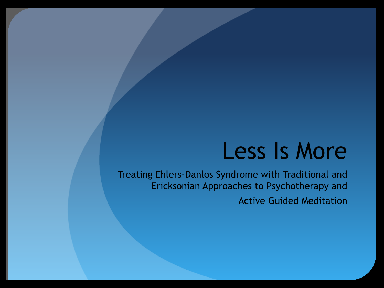## Less Is More

Treating Ehlers-Danlos Syndrome with Traditional and Ericksonian Approaches to Psychotherapy and Active Guided Meditation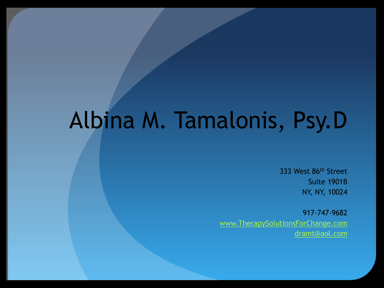# Albina M. Tamalonis, Psy.D

333 West 86th Street Suite 1901B NY, NY, 10024

917-747-9682 www.TherapySolutionsForChange.com dramt@aol.com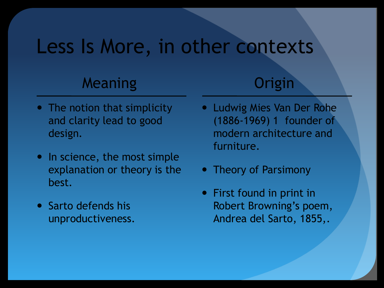#### Less Is More, in other contexts

#### Meaning

- The notion that simplicity and clarity lead to good design.
- In science, the most simple explanation or theory is the best.
- Sarto defends his unproductiveness.

#### **Origin**

- Ludwig Mies Van Der Rohe (1886-1969) 1 founder of modern architecture and furniture.
- Theory of Parsimony
- First found in print in Robert Browning's poem, Andrea del Sarto, 1855,.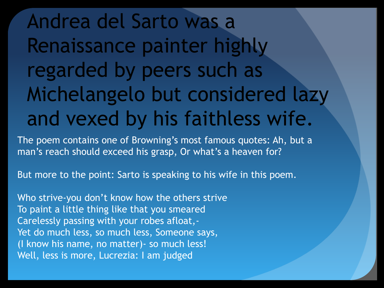Andrea del Sarto was a Renaissance painter highly regarded by peers such as Michelangelo but considered lazy and vexed by his faithless wife.

The poem contains one of Browning's most famous quotes: Ah, but a man's reach should exceed his grasp, Or what's a heaven for?

But more to the point: Sarto is speaking to his wife in this poem.

Who strive-you don't know how the others strive To paint a little thing like that you smeared Carelessly passing with your robes afloat,- Yet do much less, so much less, Someone says, (I know his name, no matter)- so much less! Well, less is more, Lucrezia: I am judged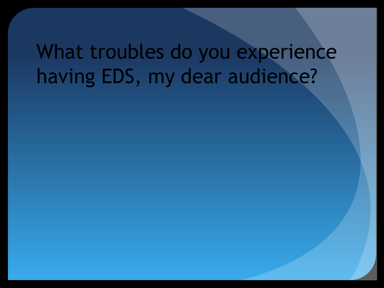## What troubles do you experience having EDS, my dear audience?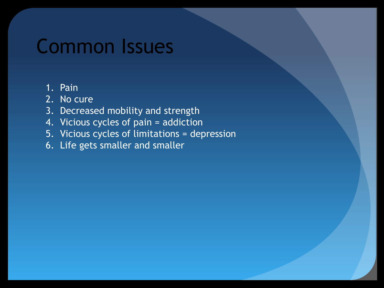## Common Issues

#### 1. Pain

- 2. No cure
- 3. Decreased mobility and strength
- 4. Vicious cycles of pain = addiction
- 5. Vicious cycles of limitations = depression
- 6. Life gets smaller and smaller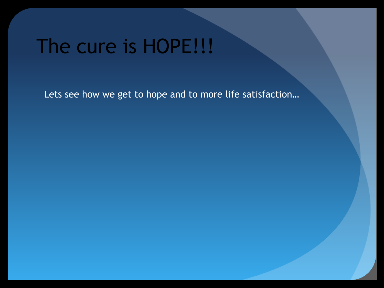## The cure is HOPE!!!

Lets see how we get to hope and to more life satisfaction…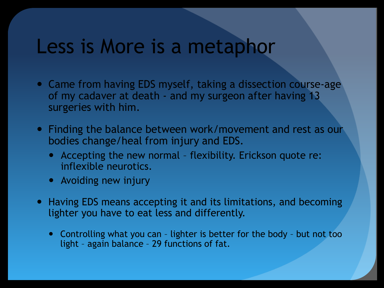#### Less is More is a metaphor

- Came from having EDS myself, taking a dissection course-age of my cadaver at death - and my surgeon after having 13 surgeries with him.
- Finding the balance between work/movement and rest as our bodies change/heal from injury and EDS.
	- Accepting the new normal flexibility. Erickson quote re: inflexible neurotics.
	- Avoiding new injury
- Having EDS means accepting it and its limitations, and becoming lighter you have to eat less and differently.
	- Controlling what you can lighter is better for the body but not too light – again balance – 29 functions of fat.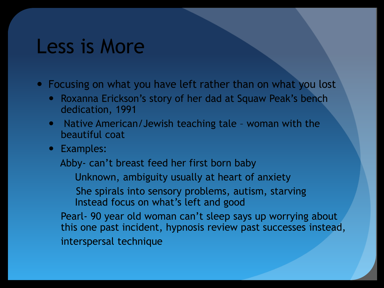#### Less is More

• Focusing on what you have left rather than on what you lost

- Roxanna Erickson's story of her dad at Squaw Peak's bench dedication, 1991
- Native American/Jewish teaching tale woman with the beautiful coat
- Examples:

Abby- can't breast feed her first born baby

Unknown, ambiguity usually at heart of anxiety

 She spirals into sensory problems, autism, starving Instead focus on what's left and good

Pearl- 90 year old woman can't sleep says up worrying about this one past incident, hypnosis review past successes instead, interspersal technique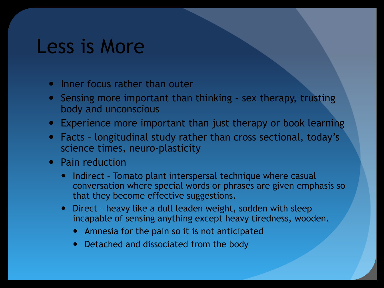#### Less is More

- Inner focus rather than outer
- Sensing more important than thinking sex therapy, trusting body and unconscious
- Experience more important than just therapy or book learning
- Facts longitudinal study rather than cross sectional, today's science times, neuro-plasticity
- Pain reduction
	- Indirect Tomato plant interspersal technique where casual conversation where special words or phrases are given emphasis so that they become effective suggestions.
	- Direct heavy like a dull leaden weight, sodden with sleep incapable of sensing anything except heavy tiredness, wooden.
		- Amnesia for the pain so it is not anticipated
		- Detached and dissociated from the body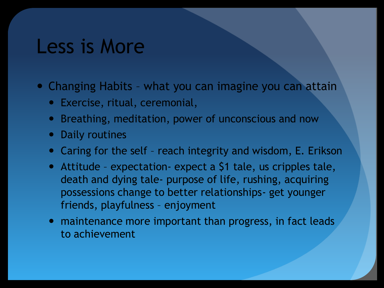#### Less is More

• Changing Habits - what you can imagine you can attain

- Exercise, ritual, ceremonial,
- Breathing, meditation, power of unconscious and now
- Daily routines
- Caring for the self reach integrity and wisdom, E. Erikson
- Attitude expectation- expect a \$1 tale, us cripples tale, death and dying tale- purpose of life, rushing, acquiring possessions change to better relationships- get younger friends, playfulness – enjoyment
- maintenance more important than progress, in fact leads to achievement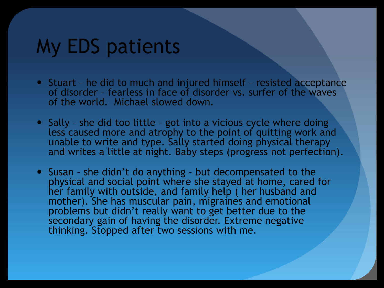## My EDS patients

- Stuart he did to much and injured himself resisted acceptance of disorder – fearless in face of disorder vs. surfer of the waves of the world. Michael slowed down.
- Sally she did too little got into a vicious cycle where doing less caused more and atrophy to the point of quitting work and unable to write and type. Sally started doing physical therapy and writes a little at night. Baby steps (progress not perfection).
- Susan she didn't do anything but decompensated to the physical and social point where she stayed at home, cared for her family with outside, and family help ( her husband and mother). She has muscular pain, migraines and emotional problems but didn't really want to get better due to the secondary gain of having the disorder. Extreme negative thinking. Stopped after two sessions with me.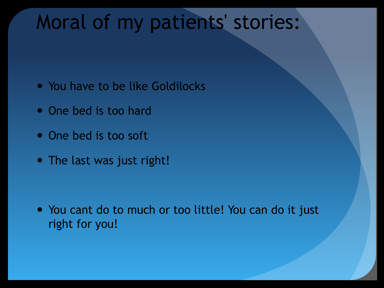## Moral of my patients' stories:

- You have to be like Goldilocks
- One bed is too hard
- One bed is too soft
- The last was just right!

• You cant do to much or too little! You can do it just right for you!